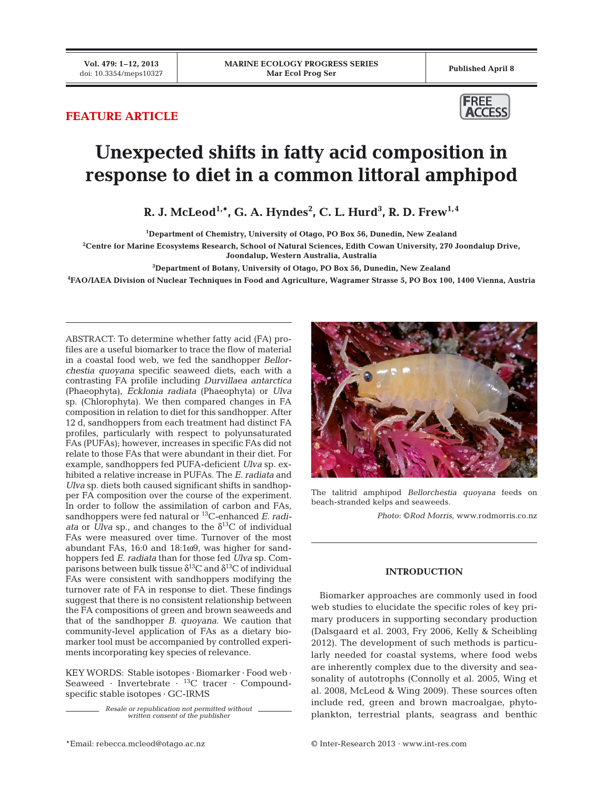# **FEATURE ARTICLE**



# **Unexpected shifts in fatty acid composition in response to diet in a common littoral amphipod**

**R. J. McLeod** $^{1,\ast}$ **, G. A. Hyndes** $^{2}$ **, C. L. Hurd** $^{3}$ **, R. D. Frew** $^{1,4}$ 

**1 Department of Chemistry, University of Otago, PO Box 56, Dunedin, New Zealand**

**2 Centre for Marine Ecosystems Research, School of Natural Sciences, Edith Cowan University, 270 Joondalup Drive,** 

**Joondalup, Western Australia, Australia**

**3 Department of Botany, University of Otago, PO Box 56, Dunedin, New Zealand**

**4 FAO/IAEA Division of Nuclear Techniques in Food and Agriculture, Wagramer Strasse 5, PO Box 100, 1400 Vienna, Austria**

ABSTRACT: To determine whether fatty acid (FA) profiles are a useful biomarker to trace the flow of material in a coastal food web, we fed the sandhopper *Bellor chestia quoyana* specific seaweed diets, each with a contrasting FA profile including *Durvillaea antarctica* (Phaeophyta), *Ecklonia radiata* (Phaeophyta) or *Ulva* sp. (Chlorophyta). We then compared changes in FA composition in relation to diet for this sandhopper. After 12 d, sandhoppers from each treatment had distinct FA profiles, particularly with respect to polyunsaturated FAs (PUFAs); however, increases in specific FAs did not relate to those FAs that were abundant in their diet. For example, sandhoppers fed PUFA-deficient *Ulva* sp. exhibited a relative increase in PUFAs. The *E. radiata* and *Ulva* sp. diets both caused significant shifts in sandhopper FA composition over the course of the experiment. In order to follow the assimilation of carbon and FAs, sandhoppers were fed natural or 13C-enhanced *E. radiata* or *Ulva* sp., and changes to the  $\delta^{13}$ C of individual FAs were measured over time. Turnover of the most abundant FAs, 16:0 and 18:1ω9, was higher for sandhoppers fed *E. radiata* than for those fed *Ulva* sp. Comparisons between bulk tissue  $\delta^{13}$ C and  $\delta^{13}$ C of individual FAs were consistent with sandhoppers modifying the turnover rate of FA in response to diet. These findings suggest that there is no consistent relationship between the FA compositions of green and brown seaweeds and that of the sandhopper *B. quoyana*. We caution that community-level application of FAs as a dietary biomarker tool must be accompanied by controlled experiments incorporating key species of relevance.

KEY WORDS: Stable isotopes · Biomarker · Food web · Seaweed · Invertebrate  $\cdot$  <sup>13</sup>C tracer · Compoundspecific stable isotopes · GC-IRMS

> *Resale or republication not permitted without written consent of the publisher*



The talitrid amphipod *Bellorchestia quoyana* feeds on beach-stranded kelps and seaweeds.

*Photo*: ©*Rod Morris*, www.rodmorris.co.nz

# **INTRODUCTION**

Biomarker approaches are commonly used in food web studies to elucidate the specific roles of key primary producers in supporting secondary production (Dalsgaard et al. 2003, Fry 2006, Kelly & Scheibling 2012). The development of such methods is particularly needed for coastal systems, where food webs are inherently complex due to the diversity and seasonality of autotrophs (Connolly et al. 2005, Wing et al. 2008, McLeod & Wing 2009). These sources often include red, green and brown macroalgae, phytoplankton, terrestrial plants, seagrass and benthic

\*Email: rebecca.mcleod@otago.ac.nz © Inter-Research 2013 · www.int-res.com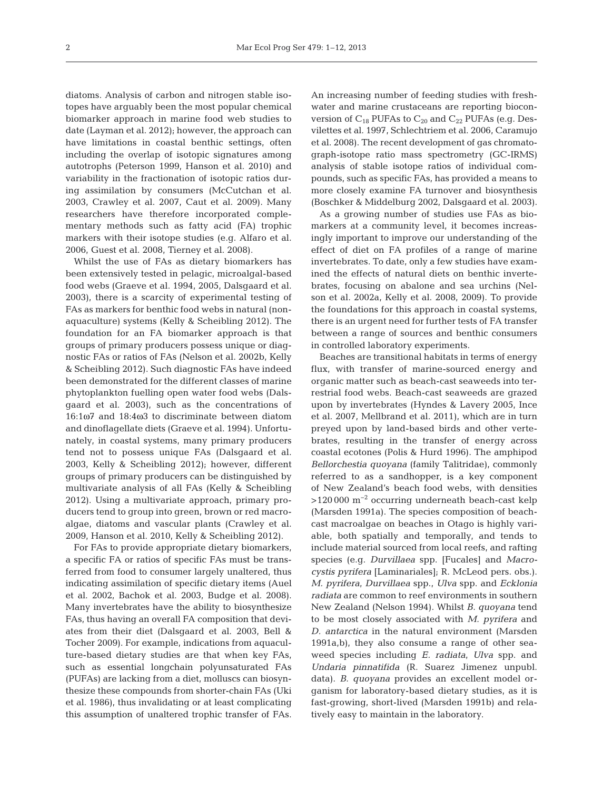diatoms. Analysis of carbon and nitrogen stable isotopes have arguably been the most popular chemical biomarker approach in marine food web studies to date (Layman et al. 2012); however, the approach can have limitations in coastal benthic settings, often including the overlap of isotopic signatures among autotrophs (Peterson 1999, Hanson et al. 2010) and variability in the fractionation of isotopic ratios during assimilation by consumers (McCutchan et al. 2003, Crawley et al. 2007, Caut et al. 2009). Many researchers have therefore incorporated complementary methods such as fatty acid (FA) trophic markers with their isotope studies (e.g. Alfaro et al. 2006, Guest et al. 2008, Tierney et al. 2008).

Whilst the use of FAs as dietary biomarkers has been extensively tested in pelagic, microalgal-based food webs (Graeve et al. 1994, 2005, Dalsgaard et al. 2003), there is a scarcity of experimental testing of FAs as markers for benthic food webs in natural (nonaquaculture) systems (Kelly & Scheibling 2012). The foundation for an FA biomarker approach is that groups of primary producers possess unique or diagnostic FAs or ratios of FAs (Nelson et al. 2002b, Kelly & Scheibling 2012). Such diagnostic FAs have indeed been demonstrated for the different classes of marine phytoplankton fuelling open water food webs (Dalsgaard et al. 2003), such as the concentrations of 16:1ω7 and 18:4ω3 to discriminate between diatom and dinoflagellate diets (Graeve et al. 1994). Unfortunately, in coastal systems, many primary producers tend not to possess unique FAs (Dalsgaard et al. 2003, Kelly & Scheibling 2012); however, different groups of primary producers can be distinguished by multivariate analysis of all FAs (Kelly & Scheibling 2012). Using a multivariate approach, primary producers tend to group into green, brown or red macroalgae, diatoms and vascular plants (Crawley et al. 2009, Hanson et al. 2010, Kelly & Scheibling 2012).

For FAs to provide appropriate dietary biomarkers, a specific FA or ratios of specific FAs must be transferred from food to consumer largely unaltered, thus indicating assimilation of specific dietary items (Auel et al. 2002, Bachok et al. 2003, Budge et al. 2008). Many invertebrates have the ability to biosynthesize FAs, thus having an overall FA composition that deviates from their diet (Dalsgaard et al. 2003, Bell & Tocher 2009). For example, indications from aquaculture-based dietary studies are that when key FAs, such as essential longchain polyunsaturated FAs (PUFAs) are lacking from a diet, molluscs can biosynthesize these compounds from shorter-chain FAs (Uki et al. 1986), thus invalidating or at least complicating this assumption of unaltered trophic transfer of FAs. An increasing number of feeding studies with freshwater and marine crustaceans are reporting bioconversion of  $C_{18}$  PUFAs to  $C_{20}$  and  $C_{22}$  PUFAs (e.g. Desvilettes et al. 1997, Schlechtriem et al. 2006, Caramujo et al. 2008). The recent development of gas chromatograph-isotope ratio mass spectrometry (GC-IRMS) analysis of stable isotope ratios of individual compounds, such as specific FAs, has provided a means to more closely examine FA turnover and biosynthesis (Boschker & Middelburg 2002, Dalsgaard et al. 2003).

As a growing number of studies use FAs as biomarkers at a community level, it becomes increasingly important to improve our understanding of the effect of diet on FA profiles of a range of marine invertebrates. To date, only a few studies have examined the effects of natural diets on benthic invertebrates, focusing on abalone and sea urchins (Nelson et al. 2002a, Kelly et al. 2008, 2009). To provide the foundations for this approach in coastal systems, there is an urgent need for further tests of FA transfer between a range of sources and benthic consumers in controlled laboratory experiments.

Beaches are transitional habitats in terms of energy flux, with transfer of marine-sourced energy and organic matter such as beach-cast seaweeds into terrestrial food webs. Beach-cast seaweeds are grazed upon by invertebrates (Hyndes & Lavery 2005, Ince et al. 2007, Mellbrand et al. 2011), which are in turn preyed upon by land-based birds and other vertebrates, resulting in the transfer of energy across coastal ecotones (Polis & Hurd 1996). The amphipod *Bellorchestia quoyana* (family Talitridae), commonly referred to as a sandhopper, is a key component of New Zealand's beach food webs, with densities >120 000 m−2 occurring underneath beach-cast kelp (Marsden 1991a). The species composition of beachcast macroalgae on beaches in Otago is highly variable, both spatially and temporally, and tends to include material sourced from local reefs, and rafting species (e.g. *Durvillaea* spp. [Fucales] and *Macro cystis pyrifera* [Laminariales]; R. McLeod pers. obs.). *M. pyrifera*, *Durvillaea* spp., *Ulva* spp. and *Ecklonia radiata* are common to reef environments in southern New Zealand (Nelson 1994). Whilst *B. quoyana* tend to be most closely associated with *M. pyrifera* and *D. antarctica* in the natural environment (Marsden 1991a,b), they also consume a range of other seaweed species including *E. radiata*, *Ulva* spp. and *Undaria pinnatifida* (R. Suarez Jimenez unpubl. data). *B. quoyana* provides an excellent model organism for laboratory-based dietary studies, as it is fast-growing, short-lived (Marsden 1991b) and relatively easy to maintain in the laboratory.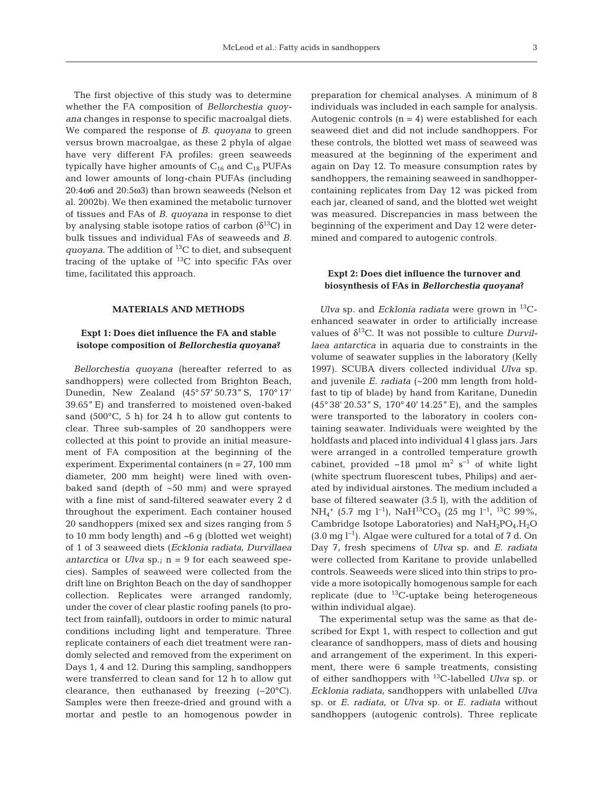The first objective of this study was to determine whether the FA composition of *Bellorchestia quoyana* changes in response to specific macroalgal diets. We compared the response of *B. quoyana* to green versus brown macroalgae, as these 2 phyla of algae have very different FA profiles: green seaweeds typically have higher amounts of  $C_{16}$  and  $C_{18}$  PUFAs and lower amounts of long-chain PUFAs (including 20:4ω6 and 20:5ω3) than brown seaweeds (Nelson et al. 2002b). We then examined the metabolic turnover of tissues and FAs of *B. quoyana* in response to diet by analysing stable isotope ratios of carbon  $(\delta^{13}C)$  in bulk tissues and individual FAs of seaweeds and *B. quoyana*. The addition of 13C to diet, and subsequent tracing of the uptake of  $^{13}$ C into specific FAs over time, facilitated this approach.

#### **MATERIALS AND METHODS**

# **Expt 1: Does diet influence the FA and stable isotope composition of** *Bellorchestia quoyana***?**

*Bellorchestia quoyana* (hereafter referred to as sandhoppers) were collected from Brighton Beach, Dunedin, New Zealand (45° 57' 50.73" S, 170° 17' 39.65" E) and transferred to moistened oven-baked sand  $(500^{\circ}C, 5 h)$  for 24 h to allow gut contents to clear. Three sub-samples of 20 sandhoppers were collected at this point to provide an initial measurement of FA composition at the beginning of the experiment. Experimental containers (n = 27, 100 mm diameter, 200 mm height) were lined with ovenbaked sand (depth of ~50 mm) and were sprayed with a fine mist of sand-filtered seawater every 2 d throughout the experiment. Each container housed 20 sandhoppers (mixed sex and sizes ranging from 5 to 10 mm body length) and ~6 g (blotted wet weight) of 1 of 3 seaweed diets (*Ecklonia radiata*, *Durvillaea antarctica* or *Ulva* sp.; n = 9 for each seaweed species). Samples of seaweed were collected from the drift line on Brighton Beach on the day of sandhopper collection. Replicates were arranged randomly, under the cover of clear plastic roofing panels (to protect from rainfall), outdoors in order to mimic natural conditions including light and temperature. Three replicate containers of each diet treatment were randomly selected and removed from the experiment on Days 1, 4 and 12. During this sampling, sandhoppers were transferred to clean sand for 12 h to allow gut clearance, then euthanased by freezing (−20°C). Samples were then freeze-dried and ground with a mortar and pestle to an homogenous powder in

preparation for chemical analyses. A minimum of 8 individuals was included in each sample for analysis. Autogenic controls  $(n = 4)$  were established for each seaweed diet and did not include sandhoppers. For these controls, the blotted wet mass of seaweed was measured at the beginning of the experiment and again on Day 12. To measure consumption rates by sandhoppers, the remaining seaweed in sandhoppercontaining replicates from Day 12 was picked from each jar, cleaned of sand, and the blotted wet weight was measured. Discrepancies in mass between the beginning of the experiment and Day 12 were determined and compared to autogenic controls.

## **Expt 2: Does diet influence the turnover and biosynthesis of FAs in** *Bellorchestia quoyana***?**

*Ulva* sp. and *Ecklonia radiata* were grown in 13Cenhanced seawater in order to artificially increase values of δ13C. It was not possible to culture *Durvillaea antarctica* in aquaria due to constraints in the volume of seawater supplies in the laboratory (Kelly 1997). SCUBA divers collected individual *Ulva* sp. and juvenile *E. radiata* (~200 mm length from holdfast to tip of blade) by hand from Karitane, Dunedin (45° 38' 20.53" S, 170° 40' 14.25" E), and the samples were transported to the laboratory in coolers containing seawater. Individuals were weighted by the holdfasts and placed into individual 4 l glass jars. Jars were arranged in a controlled temperature growth cabinet, provided ~18 µmol  $m^2 s^{-1}$  of white light (white spectrum fluorescent tubes, Philips) and aerated by individual airstones. The medium included a base of filtered seawater (3.5 l), with the addition of NH<sub>4</sub><sup>+</sup> (5.7 mg l<sup>−1</sup>), NaH<sup>13</sup>CO<sub>3</sub> (25 mg l<sup>−1</sup>, <sup>13</sup>C 99%, Cambridge Isotope Laboratories) and  $NaH_2PO_4.H_2O$  $(3.0 \text{ mg l}^{-1})$ . Algae were cultured for a total of 7 d. On Day 7, fresh specimens of *Ulva* sp. and *E. radiata* were collected from Karitane to provide unlabelled controls. Seaweeds were sliced into thin strips to provide a more isotopically homogenous sample for each replicate (due to  ${}^{13}$ C-uptake being heterogeneous within individual algae).

The experimental setup was the same as that described for Expt 1, with respect to collection and gut clearance of sandhoppers, mass of diets and housing and arrangement of the experiment. In this experiment, there were 6 sample treatments, consisting of either sandhoppers with 13C-labelled *Ulva* sp. or *Ecklonia radiata*, sandhoppers with unlabelled *Ulva* sp. or *E. radiata*, or *Ulva* sp. or *E. radiata* without sandhoppers (autogenic controls). Three replicate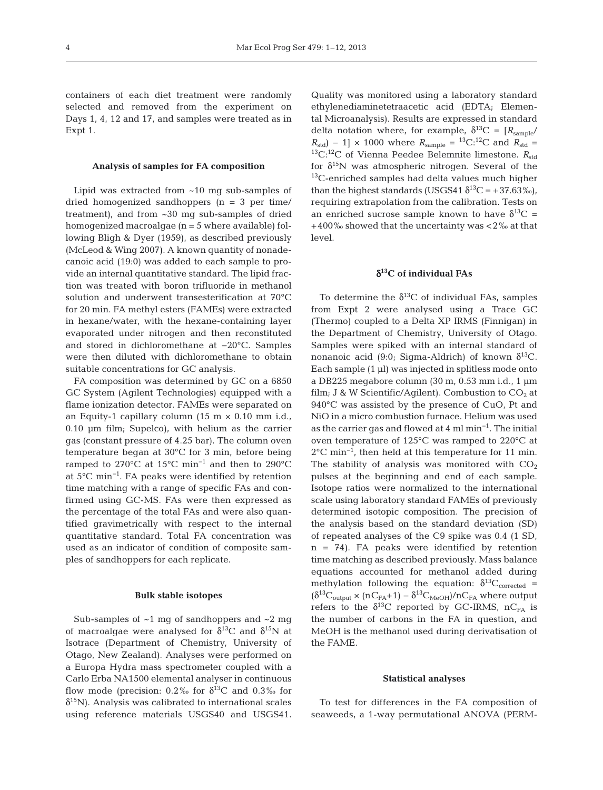containers of each diet treatment were randomly selected and removed from the experiment on Days 1, 4, 12 and 17, and samples were treated as in Expt 1.

#### **Analysis of samples for FA composition**

Lipid was extracted from ~10 mg sub-samples of dried homogenized sandhoppers (n = 3 per time/ treatment), and from ~30 mg sub-samples of dried homogenized macroalgae (n = 5 where available) following Bligh & Dyer (1959), as described previously (McLeod & Wing 2007). A known quantity of nonadecanoic acid (19:0) was added to each sample to provide an internal quantitative standard. The lipid fraction was treated with boron trifluoride in methanol solution and underwent transesterification at 70°C for 20 min. FA methyl esters (FAMEs) were extracted in hexane/water, with the hexane-containing layer evaporated under nitrogen and then reconstituted and stored in dichloromethane at −20°C. Samples were then diluted with dichloromethane to obtain suitable concentrations for GC analysis.

FA composition was determined by GC on a 6850 GC System (Agilent Technologies) equipped with a flame ionization detector. FAMEs were separated on an Equity-1 capillary column (15 m  $\times$  0.10 mm i.d., 0.10 µm film; Supelco), with helium as the carrier gas (constant pressure of 4.25 bar). The column oven temperature began at 30°C for 3 min, before being ramped to 270°C at 15°C min−1 and then to 290°C at 5°C min−1. FA peaks were identified by retention time matching with a range of specific FAs and confirmed using GC-MS. FAs were then expressed as the percentage of the total FAs and were also quantified gravimetrically with respect to the internal quantitative standard. Total FA concentration was used as an indicator of condition of composite samples of sandhoppers for each replicate.

#### **Bulk stable isotopes**

Sub-samples of  $\sim$ 1 mg of sandhoppers and  $\sim$ 2 mg of macroalgae were analysed for  $\delta^{13}C$  and  $\delta^{15}N$  at Isotrace (Department of Chemistry, University of Otago, New Zealand). Analyses were performed on a Europa Hydra mass spectrometer coupled with a Carlo Erba NA1500 elemental analyser in continuous flow mode (precision:  $0.2\%$  for  $\delta^{13}$ C and  $0.3\%$  for  $\delta^{15}$ N). Analysis was calibrated to international scales using reference materials USGS40 and USGS41.

Quality was monitored using a laboratory standard ethylenediaminetetraacetic acid (EDTA; Elemental Microanalysis). Results are expressed in standard delta notation where, for example,  $\delta^{13}C = [R_{sample}/]$  $R_{\text{std}} - 1$  × 1000 where  $R_{\text{sample}} = {}^{13}C_{\cdot} {}^{12}C$  and  $R_{\text{std}} =$ <sup>13</sup>C:<sup>12</sup>C of Vienna Peedee Belemnite limestone.  $R_{std}$ for  $\delta^{15}$ N was atmospheric nitrogen. Several of the  $13C$ -enriched samples had delta values much higher than the highest standards (USGS41  $\delta^{13}C = +37.63\%$ ), requiring extrapolation from the calibration. Tests on an enriched sucrose sample known to have  $\delta^{13}C =$ +400‰ showed that the uncertainty was <2‰ at that level.

### δ**13C of individual FAs**

To determine the  $\delta^{13}C$  of individual FAs, samples from Expt 2 were analysed using a Trace GC (Thermo) coupled to a Delta XP IRMS (Finnigan) in the Department of Chemistry, University of Otago. Samples were spiked with an internal standard of nonanoic acid (9:0; Sigma-Aldrich) of known  $\delta^{13}C$ . Each sample  $(1 \text{ µ})$  was injected in splitless mode onto a DB225 megabore column (30 m, 0.53 mm i.d., 1 µm film; J & W Scientific/Agilent). Combustion to  $CO<sub>2</sub>$  at 940°C was assisted by the presence of CuO, Pt and NiO in a micro combustion furnace. Helium was used as the carrier gas and flowed at 4 ml min−1. The initial oven temperature of 125°C was ramped to 220°C at 2°C min−1, then held at this temperature for 11 min. The stability of analysis was monitored with  $CO<sub>2</sub>$ pulses at the beginning and end of each sample. Isotope ratios were normalized to the international scale using laboratory standard FAMEs of previously determined isotopic composition. The precision of the analysis based on the standard deviation (SD) of repeated analyses of the C9 spike was 0.4 (1 SD, n = 74). FA peaks were identified by retention time matching as described previously. Mass balance equations accounted for methanol added during methylation following the equation:  $\delta^{13}C_{\text{corrected}}$  =  $(\delta^{13}C_{\text{output}} \times (nC_{FA}+1) - \delta^{13}C_{\text{MeOH}})/nC_{FA}$  where output refers to the  $\delta^{13}C$  reported by GC-IRMS, nC<sub>FA</sub> is the number of carbons in the FA in question, and MeOH is the methanol used during derivatisation of the FAME.

#### **Statistical analyses**

To test for differences in the FA composition of seaweeds, a 1-way permutational ANOVA (PERM-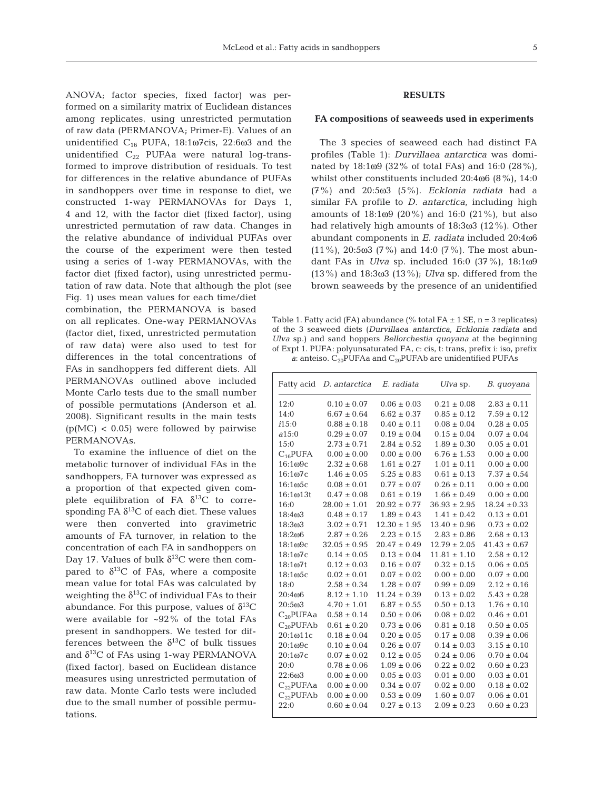ANOVA; factor species, fixed factor) was performed on a similarity matrix of Euclidean distances among replicates, using unrestricted permutation of raw data (PERMANOVA; Primer-E). Values of an unidentified  $C_{16}$  PUFA, 18:1ω7cis, 22:6ω3 and the unidentified  $C_{22}$  PUFAa were natural log-transformed to improve distribution of residuals. To test for differences in the relative abundance of PUFAs in sandhoppers over time in response to diet, we constructed 1-way PERMANOVAs for Days 1, 4 and 12, with the factor diet (fixed factor), using unrestricted permutation of raw data. Changes in the relative abundance of individual PUFAs over the course of the experiment were then tested using a series of 1-way PERMANOVAs, with the factor diet (fixed factor), using unrestricted permutation of raw data. Note that although the plot (see

Fig. 1) uses mean values for each time/diet combination, the PERMANOVA is based on all replicates. One-way PERMANOVAs (factor diet, fixed, unrestricted permutation of raw data) were also used to test for differences in the total concentrations of FAs in sandhoppers fed different diets. All PERMANOVAs outlined above included Monte Carlo tests due to the small number of possible permutations (Anderson et al. 2008). Significant results in the main tests  $(p(MC) < 0.05)$  were followed by pairwise PERMANOVAs.

To examine the influence of diet on the metabolic turnover of individual FAs in the sandhoppers, FA turnover was expressed as a proportion of that expected given complete equilibration of FA  $\delta^{13}$ C to corresponding FA  $\delta^{13}$ C of each diet. These values were then converted into gravimetric amounts of FA turnover, in relation to the concentration of each FA in sandhoppers on Day 17. Values of bulk  $\delta^{13}$ C were then compared to  $\delta^{13}$ C of FAs, where a composite mean value for total FAs was calculated by weighting the  $\delta^{13}$ C of individual FAs to their abundance. For this purpose, values of  $\delta^{13}C$ were available for ~92% of the total FAs present in sandhoppers. We tested for differences between the  $\delta^{13}$ C of bulk tissues and  $\delta^{13}$ C of FAs using 1-way PERMANOVA (fixed factor), based on Euclidean distance measures using unrestricted permutation of raw data. Monte Carlo tests were included due to the small number of possible permutations.

# **RESULTS**

## **FA compositions of seaweeds used in experiments**

The 3 species of seaweed each had distinct FA profiles (Table 1): *Durvillaea antarctica* was dominated by 18:1ω9 (32% of total FAs) and 16:0 (28%), whilst other constituents included 20:4ω6 (8%), 14:0 (7%) and 20:5ω3 (5%). *Ecklonia radiata* had a similar FA profile to *D. antarctica*, including high amounts of 18:1ω9 (20%) and 16:0 (21%), but also had relatively high amounts of 18:3ω3 (12%). Other abundant components in *E. radiata* included 20:4ω6 (11%), 20:5ω3 (7%) and 14:0 (7%). The most abundant FAs in *Ulva* sp. included 16:0 (37%), 18:1ω9 (13%) and 18:3ω3 (13%); *Ulva* sp. differed from the brown seaweeds by the presence of an unidentified

Table 1. Fatty acid (FA) abundance (% total FA  $\pm$  1 SE, n = 3 replicates) of the 3 seaweed diets (*Durvillaea antarctica*, *Ecklonia radiata* and *Ulva* sp.) and sand hoppers *Bellorchestia quoyana* at the beginning of Expt 1. PUFA: polyunsaturated FA, c: cis, t: trans, prefix i: iso, prefix *a*: anteiso.  $C_{20}$ PUFAa and  $C_{20}$ PUFAb are unidentified PUFAs

| Fatty acid                       | D. antarctica    | E. radiata       | $U$ <i>lva</i> sp. | B. quoyana       |
|----------------------------------|------------------|------------------|--------------------|------------------|
| 12:0                             | $0.10 \pm 0.07$  | $0.06 \pm 0.03$  | $0.21 \pm 0.08$    | $2.83 \pm 0.11$  |
| 14:0                             | $6.67 \pm 0.64$  | $6.62 \pm 0.37$  | $0.85 \pm 0.12$    | $7.59 \pm 0.12$  |
| i15:0                            | $0.88 \pm 0.18$  | $0.40 \pm 0.11$  | $0.08 \pm 0.04$    | $0.28 \pm 0.05$  |
| a15:0                            | $0.29 \pm 0.07$  | $0.19 \pm 0.04$  | $0.15 \pm 0.04$    | $0.07 \pm 0.04$  |
| 15:0                             | $2.73 \pm 0.71$  | $2.84 \pm 0.52$  | $1.89 \pm 0.30$    | $0.05 \pm 0.01$  |
| $C_{16}$ PUFA                    | $0.00 \pm 0.00$  | $0.00\pm0.00$    | $6.76 \pm 1.53$    | $0.00 \pm 0.00$  |
| 16:1 <sub>0</sub> 9 <sub>c</sub> | $2.32 \pm 0.68$  | $1.61 \pm 0.27$  | $1.01 \pm 0.11$    | $0.00 \pm 0.00$  |
| 16:1 <sub>0</sub> 7 <sub>c</sub> | $1.46 \pm 0.05$  | $5.25 \pm 0.83$  | $0.61 \pm 0.13$    | $7.37 \pm 0.54$  |
| $16:1\omega$ 5c                  | $0.08 \pm 0.01$  | $0.77 \pm 0.07$  | $0.26 \pm 0.11$    | $0.00 \pm 0.00$  |
| $16:1\omega 13t$                 | $0.47 \pm 0.08$  | $0.61 \pm 0.19$  | $1.66 \pm 0.49$    | $0.00 \pm 0.00$  |
| 16:0                             | $28.00 \pm 1.01$ | $20.92 \pm 0.77$ | $36.93 \pm 2.95$   | $18.24 \pm 0.33$ |
| 18:403                           | $0.48 \pm 0.17$  | $1.89 \pm 0.43$  | $1.41 \pm 0.42$    | $0.13 \pm 0.01$  |
| 18:303                           | $3.02 \pm 0.71$  | $12.30 \pm 1.95$ | $13.40 \pm 0.96$   | $0.73 \pm 0.02$  |
| 18:2006                          | $2.87 \pm 0.26$  | $2.23 \pm 0.15$  | $2.83 \pm 0.86$    | $2.68 \pm 0.13$  |
| 18:109c                          | $32.05 \pm 0.95$ | $20.47 \pm 0.49$ | $12.79 \pm 2.05$   | $41.43 \pm 0.67$ |
| 18:1 <sub>0</sub> 7 <sub>c</sub> | $0.14 \pm 0.05$  | $0.13 \pm 0.04$  | $11.81 \pm 1.10$   | $2.58 \pm 0.12$  |
| 18:107t                          | $0.12 \pm 0.03$  | $0.16 \pm 0.07$  | $0.32 \pm 0.15$    | $0.06 \pm 0.05$  |
| $18:1\omega$ 5c                  | $0.02 \pm 0.01$  | $0.07 \pm 0.02$  | $0.00 \pm 0.00$    | $0.07 \pm 0.00$  |
| 18:0                             | $2.58 \pm 0.34$  | $1.28 \pm 0.07$  | $0.99 \pm 0.09$    | $2.12 \pm 0.16$  |
| 20:406                           | $8.12 \pm 1.10$  | $11.24 \pm 0.39$ | $0.13 \pm 0.02$    | $5.43 \pm 0.28$  |
| $20:5\omega3$                    | $4.70 \pm 1.01$  | $6.87 \pm 0.55$  | $0.50 \pm 0.13$    | $1.76 \pm 0.10$  |
| $C_{20}$ PUFAa                   | $0.58 \pm 0.14$  | $0.50 \pm 0.06$  | $0.08 \pm 0.02$    | $0.46 \pm 0.01$  |
| $C_{20}$ PUFAb                   | $0.61 \pm 0.20$  | $0.73 \pm 0.06$  | $0.81 \pm 0.18$    | $0.50 \pm 0.05$  |
| 20:1ω11c                         | $0.18 \pm 0.04$  | $0.20 \pm 0.05$  | $0.17 \pm 0.08$    | $0.39 \pm 0.06$  |
| $20:1\omega9c$                   | $0.10 \pm 0.04$  | $0.26 \pm 0.07$  | $0.14 \pm 0.03$    | $3.15 \pm 0.10$  |
| 20:107c                          | $0.07 \pm 0.02$  | $0.12 \pm 0.05$  | $0.24 \pm 0.06$    | $0.70 \pm 0.04$  |
| 20:0                             | $0.78 \pm 0.06$  | $1.09 \pm 0.06$  | $0.22 \pm 0.02$    | $0.60 \pm 0.23$  |
| 22:6ω3                           | $0.00 \pm 0.00$  | $0.05 \pm 0.03$  | $0.01 \pm 0.00$    | $0.03 \pm 0.01$  |
| $C_{22}$ PUFAa                   | $0.00 \pm 0.00$  | $0.34 \pm 0.07$  | $0.02 \pm 0.00$    | $0.18 \pm 0.02$  |
| $C_{22}$ PUFAb                   | $0.00 \pm 0.00$  | $0.53 \pm 0.09$  | $1.60 \pm 0.07$    | $0.06 \pm 0.01$  |
| 22:0                             | $0.60 \pm 0.04$  | $0.27 \pm 0.13$  | $2.09 \pm 0.23$    | $0.60 \pm 0.23$  |
|                                  |                  |                  |                    |                  |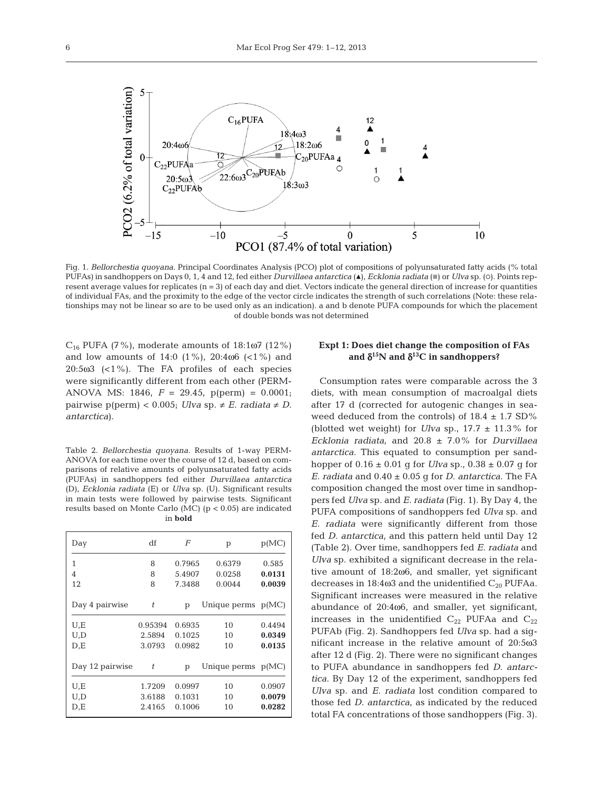

Fig. 1. *Bellorchestia quoyana.* Principal Coordinates Analysis (PCO) plot of compositions of polyunsaturated fatty acids (% total PUFAs) in sandhoppers on Days 0, 1, 4 and 12, fed either *Durvillaea antarctica* (A), *Ecklonia radiata* ( $\blacksquare$ ) or *Ulva* sp. (0). Points represent average values for replicates (n = 3) of each day and diet. Vectors indicate the general direction of increase for quantities of individual FAs, and the proximity to the edge of the vector circle indicates the strength of such correlations (Note: these relationships may not be linear so are to be used only as an indication). a and b denote PUFA compounds for which the placement of double bonds was not determined

 $C_{16}$  PUFA (7%), moderate amounts of 18:1ω7 (12%) and low amounts of 14:0  $(1\%)$ , 20:4 $\omega$ 6  $($ <1 $\%)$  and 20:5 $\omega$ 3 (<1%). The FA profiles of each species were significantly different from each other (PERM-ANOVA MS: 1846, *F* = 29.45, p(perm) = 0.0001; pairwise  $p(perm) < 0.005$ ; *Ulva* sp.  $\neq E$ . *radiata*  $\neq D$ . *antarctica*).

Table 2. *Bellorchestia quoyana.* Results of 1-way PERM-ANOVA for each time over the course of 12 d, based on comparisons of relative amounts of polyunsaturated fatty acids (PUFAs) in sandhoppers fed either *Durvillaea antarctica* (D), *Ecklonia radiata* (E) or *Ulva* sp. (U). Significant results in main tests were followed by pairwise tests. Significant results based on Monte Carlo (MC) (p < 0.05) are indicated in **bold**

| Day             | df      | F      | p                    | p(MC)  |
|-----------------|---------|--------|----------------------|--------|
| 1               | 8       | 0.7965 | 0.6379               | 0.585  |
| 4               | 8       | 5.4907 | 0.0258               | 0.0131 |
| 12              | 8       | 7.3488 | 0.0044               | 0.0039 |
| Day 4 pairwise  | t       | p      | Unique perms $p(MC)$ |        |
| U,E             | 0.95394 | 0.6935 | 10                   | 0.4494 |
| U,D             | 2.5894  | 0.1025 | 10                   | 0.0349 |
| D,E             | 3.0793  | 0.0982 | 10                   | 0.0135 |
| Day 12 pairwise | t       | p      | Unique perms $p(MC)$ |        |
| U,E             | 1.7209  | 0.0997 | 10                   | 0.0907 |
| U,D             | 3.6188  | 0.1031 | 10                   | 0.0079 |
| D,E             | 2.4165  | 0.1006 | 10                   | 0.0282 |

## **Expt 1: Does diet change the composition of FAs** and  $\delta^{15}$ N and  $\delta^{13}$ C in sandhoppers?

Consumption rates were comparable across the 3 diets, with mean consumption of macroalgal diets after 17 d (corrected for autogenic changes in seaweed deduced from the controls) of  $18.4 \pm 1.7$  SD% (blotted wet weight) for *Ulva* sp.,  $17.7 \pm 11.3\%$  for *Ecklonia radiata*, and 20.8 ± 7.0% for *Durvillaea antarctica*. This equated to consumption per sandhopper of  $0.16 \pm 0.01$  g for *Ulva* sp.,  $0.38 \pm 0.07$  g for *E. radiata* and 0.40 ± 0.05 g for *D. antarctica*. The FA composition changed the most over time in sandhoppers fed *Ulva* sp. and *E. radiata* (Fig. 1). By Day 4, the PUFA compositions of sandhoppers fed *Ulva* sp. and *E. radiata* were significantly different from those fed *D. antarctica*, and this pattern held until Day 12 (Table 2). Over time, sandhoppers fed *E. radiata* and *Ulva* sp. exhibited a significant decrease in the relative amount of 18:2ω6, and smaller, yet significant decreases in  $18:4\omega3$  and the unidentified  $C_{20}$  PUFAa. Significant increases were measured in the relative abundance of 20:4ω6, and smaller, yet significant, increases in the unidentified  $C_{22}$  PUFAa and  $C_{22}$ PUFAb (Fig. 2). Sandhoppers fed *Ulva* sp. had a significant increase in the relative amount of 20:5ω3 after 12 d (Fig. 2). There were no significant changes to PUFA abundance in sandhoppers fed *D. antarctica*. By Day 12 of the experiment, sandhoppers fed *Ulva* sp. and *E. radiata* lost condition compared to those fed *D. antarctica*, as indicated by the reduced total FA concentrations of those sandhoppers (Fig. 3).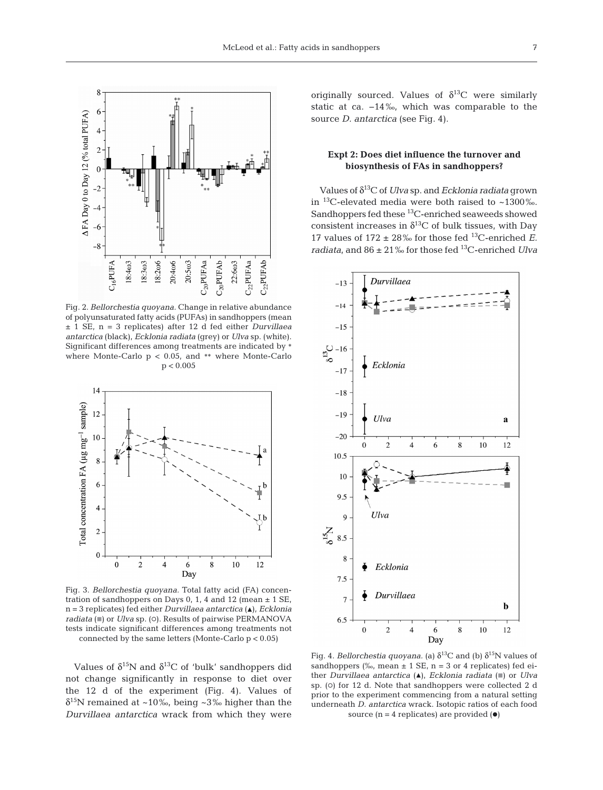

Fig. 2. *Bellorchestia quoyana.* Change in relative abundance of polyunsaturated fatty acids (PUFAs) in sandhoppers (mean ± 1 SE, n = 3 replicates) after 12 d fed either *Durvillaea antarctica* (black), *Ecklonia radiata* (grey) or *Ulva* sp. (white). Significant differences among treatments are indicated by \* where Monte-Carlo  $p < 0.05$ , and \*\* where Monte-Carlo  $p < 0.005$ 



Fig. 3. *Bellorchestia quoyana.* Total fatty acid (FA) concentration of sandhoppers on Days 0, 1, 4 and 12 (mean  $\pm$  1 SE, n = 3 replicates) fed either *Durvillaea antarctica* (▲), *Ecklonia radiata* ( $\blacksquare$ ) or *Ulva* sp. ( $\lozenge$ ). Results of pairwise PERMANOVA tests indicate significant differences among treatments not connected by the same letters (Monte-Carlo p < 0.05)

Values of  $\delta^{15}N$  and  $\delta^{13}C$  of 'bulk' sandhoppers did not change significantly in response to diet over the 12 d of the experiment (Fig. 4). Values of  $\delta^{15}$ N remained at ~10‰, being ~3‰ higher than the *Durvillaea antarctica* wrack from which they were

originally sourced. Values of  $\delta^{13}C$  were similarly static at ca. −14‰, which was comparable to the source *D. antarctica* (see Fig. 4).

# **Expt 2: Does diet influence the turnover and biosynthesis of FAs in sandhoppers?**

Values of δ13C of *Ulva* sp. and *Ecklonia radiata* grown in 13C-elevated media were both raised to ~1300‰. Sandhoppers fed these 13C-enriched seaweeds showed consistent increases in  $\delta^{13}$ C of bulk tissues, with Day 17 values of  $172 \pm 28\%$  for those fed <sup>13</sup>C-enriched *E*. *radiata*, and 86 ± 21‰ for those fed 13C-enriched *Ulva*



Fig. 4. *Bellorchestia quoyana.* (a)  $\delta^{13}$ C and (b)  $\delta^{15}$ N values of sandhoppers (‰, mean  $\pm$  1 SE, n = 3 or 4 replicates) fed either *Durvillaea antarctica* (A), *Ecklonia radiata* ( $\blacksquare$ ) or *Ulva* sp. (o) for 12 d. Note that sandhoppers were collected 2 d prior to the experiment commencing from a natural setting underneath *D. antarctica* wrack. Isotopic ratios of each food source  $(n = 4$  replicates) are provided  $(•)$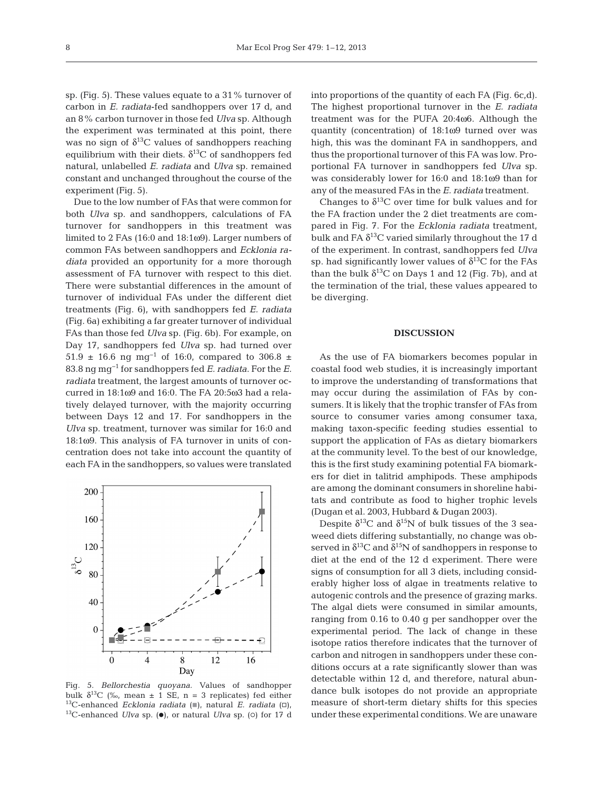sp. (Fig. 5). These values equate to a 31% turnover of carbon in *E. radiata*-fed sandhoppers over 17 d, and an 8% carbon turnover in those fed *Ulva* sp. Although the experiment was terminated at this point, there was no sign of  $\delta^{13}$ C values of sandhoppers reaching equilibrium with their diets.  $\delta^{13}$ C of sandhoppers fed natural, unlabelled *E. radiata* and *Ulva* sp. remained constant and unchanged throughout the course of the experiment (Fig. 5).

Due to the low number of FAs that were common for both *Ulva* sp. and sandhoppers, calculations of FA turnover for sandhoppers in this treatment was limited to 2 FAs (16:0 and 18:1ω9). Larger numbers of common FAs between sandhoppers and *Ecklonia radiata* provided an opportunity for a more thorough assessment of FA turnover with respect to this diet. There were substantial differences in the amount of turnover of individual FAs under the different diet treatments (Fig. 6), with sandhoppers fed *E. radiata* (Fig. 6a) exhibiting a far greater turnover of individual FAs than those fed *Ulva* sp. (Fig. 6b). For example, on Day 17, sandhoppers fed *Ulva* sp. had turned over 51.9 ± 16.6 ng mg<sup>-1</sup> of 16:0, compared to 306.8 ± 83.8 ng mg−1 for sandhoppers fed *E. radiata*. For the *E. radiata* treatment, the largest amounts of turnover occurred in 18:1ω9 and 16:0. The FA 20:5ω3 had a relatively delayed turnover, with the majority occurring between Days 12 and 17. For sandhoppers in the *Ulva* sp. treatment, turnover was similar for 16:0 and 18:1ω9. This analysis of FA turnover in units of concentration does not take into account the quantity of each FA in the sandhoppers, so values were translated



Fig. 5. *Bellorchestia quoyana.* Values of sandhopper bulk  $\delta^{13}C$  (‰, mean ± 1 SE, n = 3 replicates) fed either <sup>13</sup>C-enhanced *Ecklonia radiata* (■), natural *E. radiata* (□), <sup>13</sup>C-enhanced *Ulva* sp. ( $\bullet$ ), or natural *Ulva* sp. ( $\circ$ ) for 17 d

into proportions of the quantity of each FA (Fig. 6c,d). The highest proportional turnover in the *E. radiata* treatment was for the PUFA  $20:4\omega 6$ . Although the quantity (concentration) of 18:1ω9 turned over was high, this was the dominant FA in sandhoppers, and thus the proportional turnover of this FA was low. Proportional FA turnover in sandhoppers fed *Ulva* sp. was considerably lower for 16:0 and 18:1ω9 than for any of the measured FAs in the *E. radiata* treatment.

Changes to  $\delta^{13}$ C over time for bulk values and for the FA fraction under the 2 diet treatments are compared in Fig. 7. For the *Ecklonia radiata* treatment, bulk and FA  $\delta^{13}$ C varied similarly throughout the 17 d of the experiment. In contrast, sandhoppers fed *Ulva* sp. had significantly lower values of  $\delta^{13}C$  for the FAs than the bulk  $\delta^{13}$ C on Days 1 and 12 (Fig. 7b), and at the termination of the trial, these values appeared to be diverging.

## **DISCUSSION**

As the use of FA biomarkers becomes popular in coastal food web studies, it is increasingly important to improve the understanding of transformations that may occur during the assimilation of FAs by consumers. It is likely that the trophic transfer of FAs from source to consumer varies among consumer taxa, making taxon-specific feeding studies essential to support the application of FAs as dietary biomarkers at the community level. To the best of our knowledge, this is the first study examining potential FA biomarkers for diet in talitrid amphipods. These amphipods are among the dominant consumers in shoreline habitats and contribute as food to higher trophic levels (Dugan et al. 2003, Hubbard & Dugan 2003).

Despite  $\delta^{13}$ C and  $\delta^{15}$ N of bulk tissues of the 3 seaweed diets differing substantially, no change was observed in  $\delta^{13}$ C and  $\delta^{15}$ N of sandhoppers in response to diet at the end of the 12 d experiment. There were signs of consumption for all 3 diets, including considerably higher loss of algae in treatments relative to autogenic controls and the presence of grazing marks. The algal diets were consumed in similar amounts, ranging from  $0.16$  to  $0.40$  g per sandhopper over the experimental period. The lack of change in these isotope ratios therefore indicates that the turnover of carbon and nitrogen in sandhoppers under these conditions occurs at a rate significantly slower than was detectable within 12 d, and therefore, natural abundance bulk isotopes do not provide an appropriate measure of short-term dietary shifts for this species under these experimental conditions. We are unaware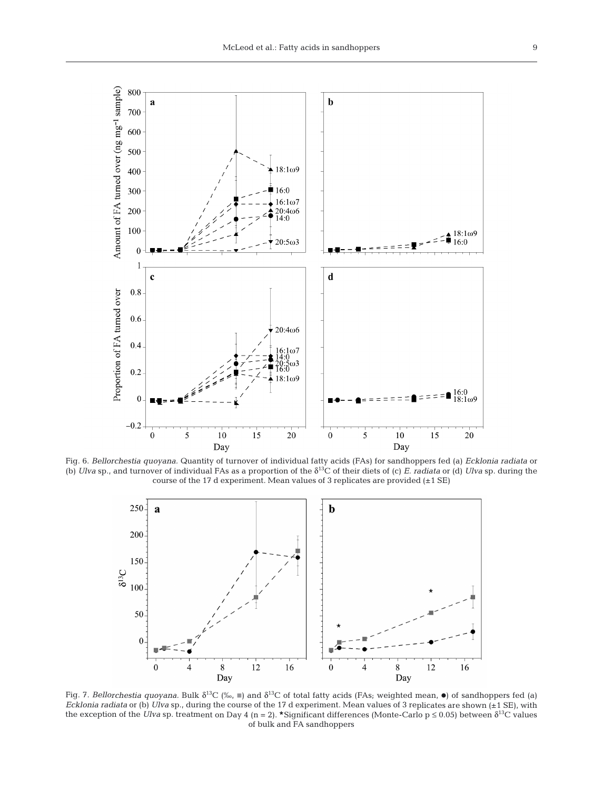

Fig. 6. *Bellorchestia quoyana.* Quantity of turnover of individual fatty acids (FAs) for sandhoppers fed (a) *Ecklonia radiata* or (b) *Ulva* sp., and turnover of individual FAs as a proportion of the δ13C of their diets of (c) *E. radiata* or (d) *Ulva* sp. during the course of the 17 d experiment. Mean values of 3 replicates are provided (±1 SE)



Fig. 7. Bellorchestia quoyana. Bulk  $\delta^{13}C$  (‰,  $\blacksquare$ ) and  $\delta^{13}C$  of total fatty acids (FAs; weighted mean,  $\bullet$ ) of sandhoppers fed (a) *Ecklonia radiata* or (b) *Ulva* sp., during the course of the 17 d experiment. Mean values of 3 replicates are shown (±1 SE), with the exception of the *Ulva* sp. treatment on Day 4 (n = 2). \*Significant differences (Monte-Carlo  $p \le 0.05$ ) between  $\delta^{13}C$  values of bulk and FA sandhoppers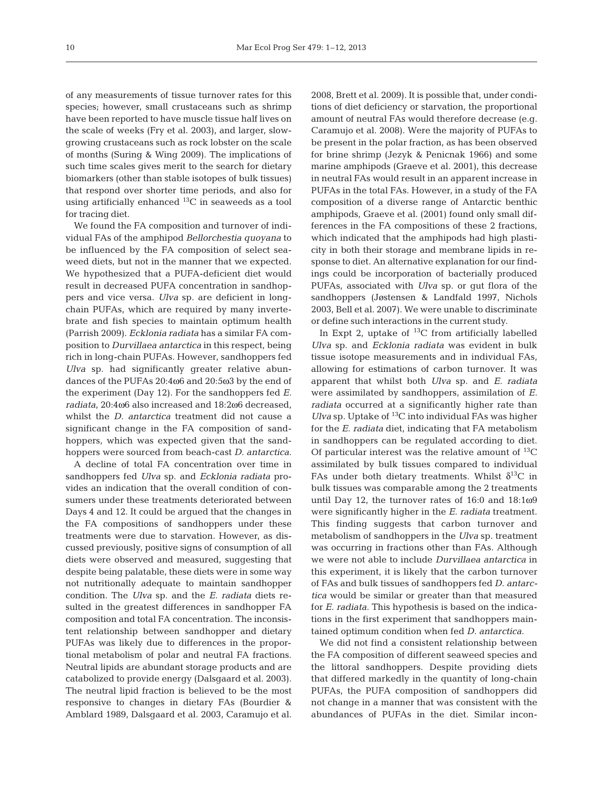of any measurements of tissue turnover rates for this species; however, small crustaceans such as shrimp have been reported to have muscle tissue half lives on the scale of weeks (Fry et al. 2003), and larger, slowgrowing crustaceans such as rock lobster on the scale of months (Suring & Wing 2009). The implications of such time scales gives merit to the search for dietary biomarkers (other than stable isotopes of bulk tissues) that respond over shorter time periods, and also for using artificially enhanced 13C in seaweeds as a tool for tracing diet.

We found the FA composition and turnover of individual FAs of the amphipod *Bellorchestia quoyana* to be influenced by the FA composition of select seaweed diets, but not in the manner that we expected. We hypothesized that a PUFA-deficient diet would result in decreased PUFA concentration in sandhoppers and vice versa. *Ulva* sp. are deficient in longchain PUFAs, which are required by many invertebrate and fish species to maintain optimum health (Parrish 2009). *Ecklonia radiata* has a similar FA composition to *Durvillaea antarctica* in this respect, being rich in long-chain PUFAs. However, sandhoppers fed *Ulva* sp. had significantly greater relative abundances of the PUFAs 20:4ω6 and 20:5ω3 by the end of the experiment (Day 12). For the sandhoppers fed *E. radiata*, 20:4ω6 also increased and 18:2ω6 decreased, whilst the *D. antarctica* treatment did not cause a significant change in the FA composition of sandhoppers, which was expected given that the sandhoppers were sourced from beach-cast *D. antarctica*.

A decline of total FA concentration over time in sandhoppers fed *Ulva* sp. and *Ecklonia radiata* provides an indication that the overall condition of consumers under these treatments deteriorated between Days 4 and 12. It could be argued that the changes in the FA compositions of sandhoppers under these treatments were due to starvation. However, as discussed previously, positive signs of consumption of all diets were observed and measured, suggesting that despite being palatable, these diets were in some way not nutritionally adequate to maintain sandhopper condition. The *Ulva* sp. and the *E. radiata* diets resulted in the greatest differences in sandhopper FA composition and total FA concentration. The inconsistent relationship between sandhopper and dietary PUFAs was likely due to differences in the proportional metabolism of polar and neutral FA fractions. Neutral lipids are abundant storage products and are catabolized to provide energy (Dalsgaard et al. 2003). The neutral lipid fraction is believed to be the most responsive to changes in dietary FAs (Bourdier & Amblard 1989, Dalsgaard et al. 2003, Caramujo et al.

2008, Brett et al. 2009). It is possible that, under conditions of diet deficiency or starvation, the proportional amount of neutral FAs would therefore decrease (e.g. Caramujo et al. 2008). Were the majority of PUFAs to be present in the polar fraction, as has been observed for brine shrimp (Jezyk & Penicnak 1966) and some marine amphipods (Graeve et al. 2001), this decrease in neutral FAs would result in an apparent increase in PUFAs in the total FAs. However, in a study of the FA composition of a diverse range of Antarctic benthic amphipods, Graeve et al. (2001) found only small differences in the FA compositions of these 2 fractions, which indicated that the amphipods had high plasticity in both their storage and membrane lipids in response to diet. An alternative explanation for our findings could be incorporation of bacterially produced PUFAs, associated with *Ulva* sp. or gut flora of the sandhoppers (Jøstensen & Landfald 1997, Nichols 2003, Bell et al. 2007). We were unable to discriminate or define such interactions in the current study.

In Expt 2, uptake of  $^{13}$ C from artificially labelled *Ulva* sp. and *Ecklonia radiata* was evident in bulk tissue isotope measurements and in individual FAs, allowing for estimations of carbon turnover. It was apparent that whilst both *Ulva* sp. and *E. radiata* were assimilated by sandhoppers, assimilation of *E. radiata* occurred at a significantly higher rate than *Ulva* sp. Uptake of  $^{13}C$  into individual FAs was higher for the *E. radiata* diet, indicating that FA metabolism in sandhoppers can be regulated according to diet. Of particular interest was the relative amount of  ${}^{13}C$ assimilated by bulk tissues compared to individual FAs under both dietary treatments. Whilst  $\delta^{13}C$  in bulk tissues was comparable among the 2 treatments until Day 12, the turnover rates of 16:0 and 18:1ω9 were significantly higher in the *E. radiata* treatment. This finding suggests that carbon turnover and metabolism of sandhoppers in the *Ulva* sp. treatment was occurring in fractions other than FAs. Although we were not able to include *Durvillaea antarctica* in this experiment, it is likely that the carbon turnover of FAs and bulk tissues of sandhoppers fed *D. antarctica* would be similar or greater than that measured for *E. radiata*. This hypothesis is based on the indications in the first experiment that sandhoppers maintained optimum condition when fed *D. antarctica*.

We did not find a consistent relationship between the FA composition of different seaweed species and the littoral sandhoppers. Despite providing diets that differed markedly in the quantity of long-chain PUFAs, the PUFA composition of sandhoppers did not change in a manner that was consistent with the abundances of PUFAs in the diet. Similar incon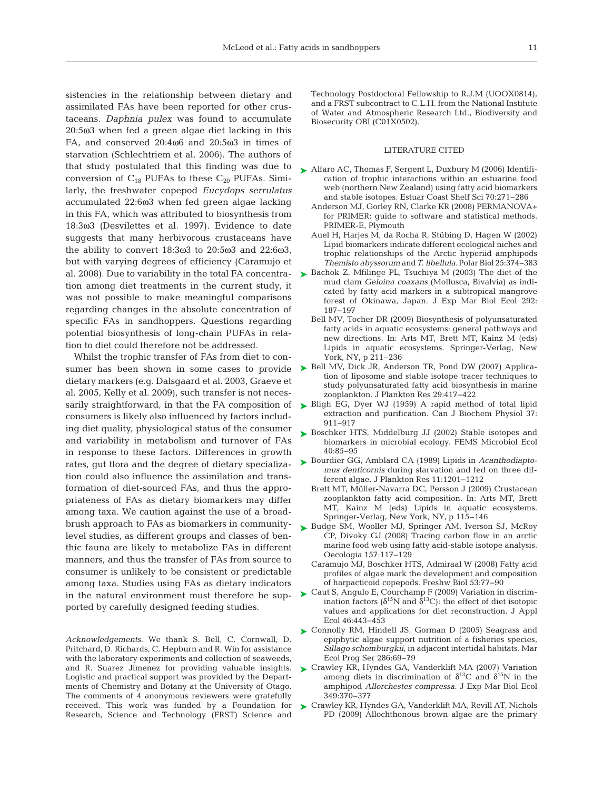sistencies in the relationship between dietary and assimilated FAs have been reported for other crustaceans. *Daphnia pulex* was found to accumulate 20:5ω3 when fed a green algae diet lacking in this FA, and conserved 20:4ω6 and 20:5ω3 in times of starvation (Schlechtriem et al. 2006). The authors of that study postulated that this finding was due to conversion of  $C_{18}$  PUFAs to these  $C_{20}$  PUFAs. Similarly, the freshwater copepod *Eucydops serrulatus* accumulated 22:6ω3 when fed green algae lacking in this FA, which was attributed to biosynthesis from 18:3ω3 (Desvilettes et al. 1997). Evidence to date suggests that many herbivorous crustaceans have the ability to convert 18:3ω3 to 20:5ω3 and 22:6ω3, but with varying degrees of efficiency (Caramujo et al. 2008). Due to variability in the total FA concentration among diet treatments in the current study, it was not possible to make meaningful comparisons regarding changes in the absolute concentration of specific FAs in sandhoppers. Questions regarding potential biosynthesis of long-chain PUFAs in relation to diet could therefore not be addressed.

Whilst the trophic transfer of FAs from diet to consumer has been shown in some cases to provide dietary markers (e.g. Dalsgaard et al. 2003, Graeve et al. 2005, Kelly et al. 2009), such transfer is not necesconsumers is likely also influenced by factors including diet quality, physiological status of the consumer and variability in metabolism and turnover of FAs in response to these factors. Differences in growth rates, gut flora and the degree of dietary specialization could also influence the assimilation and transformation of diet-sourced FAs, and thus the appropriateness of FAs as dietary biomarkers may differ among taxa. We caution against the use of a broadbrush approach to FAs as biomarkers in communitylevel studies, as different groups and classes of benthic fauna are likely to metabolize FAs in different manners, and thus the transfer of FAs from source to consumer is unlikely to be consistent or predictable among taxa. Studies using FAs as dietary indicators in the natural environment must therefore be supported by carefully designed feeding studies.

*Acknowledgements.* We thank S. Bell, C. Cornwall, D. Pritchard, D. Richards, C. Hepburn and R. Win for assistance with the laboratory experiments and collection of seaweeds, and R. Suarez Jimenez for providing valuable insights. Logistic and practical support was provided by the Departments of Chemistry and Botany at the University of Otago. The comments of 4 anonymous reviewers were gratefully received. This work was funded by a Foundation for Research, Science and Technology (FRST) Science and

Technology Postdoctoral Fellowship to R.J.M (UOOX0814), and a FRST subcontract to C.L.H. from the National Institute of Water and Atmospheric Research Ltd., Biodiversity and Biosecurity OBI (C01X0502).

#### LITERATURE CITED

- ▶ Alfaro AC, Thomas F, Sergent L, Duxbury M (2006) Identification of trophic interactions within an estuarine food web (northern New Zealand) using fatty acid biomarkers and stable isotopes. Estuar Coast Shelf Sci 70:271−286
	- Anderson MJ, Gorley RN, Clarke KR (2008) PERMANOVA+ for PRIMER: guide to software and statistical methods. PRIMER-E, Plymouth
	- Auel H, Harjes M, da Rocha R, Stübing D, Hagen W (2002) Lipid biomarkers indicate different ecological niches and trophic relationships of the Arctic hyperiid amphipods *Themisto abyssorum* and*T. libellula.*Polar Biol 25: 374−383
- ► Bachok Z, Mfilinge PL, Tsuchiya M (2003) The diet of the mud clam *Geloina coaxans* (Mollusca, Bivalvia) as indicated by fatty acid markers in a subtropical mangrove forest of Okinawa, Japan. J Exp Mar Biol Ecol 292: 187−197
	- Bell MV, Tocher DR (2009) Biosynthesis of polyunsaturated fatty acids in aquatic ecosystems: general pathways and new directions. In: Arts MT, Brett MT, Kainz M (eds) Lipids in aquatic ecosystems. Springer-Verlag, New York, NY, p 211–236
- ► Bell MV, Dick JR, Anderson TR, Pond DW (2007) Application of liposome and stable isotope tracer techniques to study polyunsaturated fatty acid biosynthesis in marine zooplankton. J Plankton Res 29:417−422
- sarily straightforward, in that the FA composition of  $\;\blacktriangleright\;$  Bligh EG, Dyer WJ (1959) A rapid method of total lipid extraction and purification. Can J Biochem Physiol 37: 911−917
	- ► Boschker HTS, Middelburg JJ (2002) Stable isotopes and biomarkers in microbial ecology. FEMS Microbiol Ecol 40:85−95
	- Bourdier GG, Amblard CA (1989) Lipids in *Acanthodiapto-*➤ *mus denticornis* during starvation and fed on three different algae. J Plankton Res 11:1201−1212
		- Brett MT, Müller-Navarra DC, Persson J (2009) Crustacean zooplankton fatty acid composition. In: Arts MT, Brett MT, Kainz M (eds) Lipids in aquatic ecosystems. Springer-Verlag, New York, NY, p 115–146
	- ► Budge SM, Wooller MJ, Springer AM, Iverson SJ, McRoy CP, Divoky GJ (2008) Tracing carbon flow in an arctic marine food web using fatty acid-stable isotope analysis. Oecologia 157:117−129
		- Caramujo MJ, Boschker HTS, Admiraal W (2008) Fatty acid profiles of algae mark the development and composition of harpacticoid copepods. Freshw Biol 53:77−90
	- ► Caut S, Angulo E, Courchamp F (2009) Variation in discrimination factors ( $\delta^{15}N$  and  $\delta^{13}C$ ): the effect of diet isotopic values and applications for diet reconstruction. J Appl Ecol 46:443−453
	- ▶ Connolly RM, Hindell JS, Gorman D (2005) Seagrass and epiphytic algae support nutrition of a fisheries species, *Sillago schomburgkii*, in adjacent intertidal habitats. Mar Ecol Prog Ser 286:69−79
	- ► Crawley KR, Hyndes GA, Vanderklift MA (2007) Variation among diets in discrimination of  $\delta^{13}$ C and  $\delta^{15}$ N in the amphipod *Allorchestes compressa.* J Exp Mar Biol Ecol 349:370−377
	- ► Crawley KR, Hyndes GA, Vanderklift MA, Revill AT, Nichols PD (2009) Allochthonous brown algae are the primary